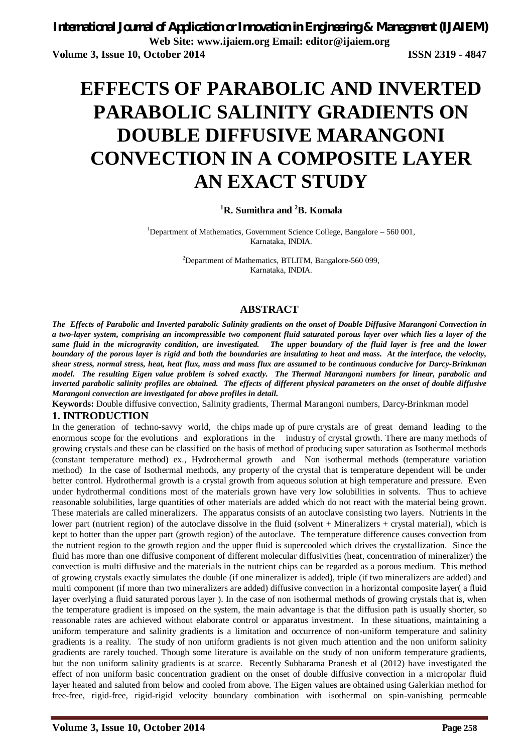# **EFFECTS OF PARABOLIC AND INVERTED PARABOLIC SALINITY GRADIENTS ON DOUBLE DIFFUSIVE MARANGONI CONVECTION IN A COMPOSITE LAYER AN EXACT STUDY**

### **<sup>1</sup>R. Sumithra and <sup>2</sup>B. Komala**

<sup>1</sup>Department of Mathematics, Government Science College, Bangalore  $-560001$ , Karnataka, INDIA.

> <sup>2</sup>Department of Mathematics, BTLITM, Bangalore-560 099, Karnataka, INDIA.

#### **ABSTRACT**

*The Effects of Parabolic and Inverted parabolic Salinity gradients on the onset of Double Diffusive Marangoni Convection in a two-layer system, comprising an incompressible two component fluid saturated porous layer over which lies a layer of the same fluid in the microgravity condition, are investigated. The upper boundary of the fluid layer is free and the lower boundary of the porous layer is rigid and both the boundaries are insulating to heat and mass. At the interface, the velocity, shear stress, normal stress, heat, heat flux, mass and mass flux are assumed to be continuous conducive for Darcy-Brinkman model. The resulting Eigen value problem is solved exactly. The Thermal Marangoni numbers for linear, parabolic and inverted parabolic salinity profiles are obtained. The effects of different physical parameters on the onset of double diffusive Marangoni convection are investigated for above profiles in detail.* 

**Keywords:** Double diffusive convection, Salinity gradients, Thermal Marangoni numbers, Darcy-Brinkman model

### **1. INTRODUCTION**

In the generation of techno-savvy world, the chips made up of pure crystals are of great demand leading to the enormous scope for the evolutions and explorations in the industry of crystal growth. There are many methods of growing crystals and these can be classified on the basis of method of producing super saturation as Isothermal methods (constant temperature method) ex., Hydrothermal growth and Non isothermal methods (temperature variation method) In the case of Isothermal methods, any property of the crystal that is temperature dependent will be under better control. Hydrothermal growth is a crystal growth from aqueous solution at high temperature and pressure. Even under hydrothermal conditions most of the materials grown have very low solubilities in solvents. Thus to achieve reasonable solubilities, large quantities of other materials are added which do not react with the material being grown. These materials are called mineralizers. The apparatus consists of an autoclave consisting two layers. Nutrients in the lower part (nutrient region) of the autoclave dissolve in the fluid (solvent + Mineralizers + crystal material), which is kept to hotter than the upper part (growth region) of the autoclave. The temperature difference causes convection from the nutrient region to the growth region and the upper fluid is supercooled which drives the crystallization. Since the fluid has more than one diffusive component of different molecular diffusivities (heat, concentration of mineralizer) the convection is multi diffusive and the materials in the nutrient chips can be regarded as a porous medium. This method of growing crystals exactly simulates the double (if one mineralizer is added), triple (if two mineralizers are added) and multi component (if more than two mineralizers are added) diffusive convection in a horizontal composite layer( a fluid layer overlying a fluid saturated porous layer ). In the case of non isothermal methods of growing crystals that is, when the temperature gradient is imposed on the system, the main advantage is that the diffusion path is usually shorter, so reasonable rates are achieved without elaborate control or apparatus investment. In these situations, maintaining a uniform temperature and salinity gradients is a limitation and occurrence of non-uniform temperature and salinity gradients is a reality. The study of non uniform gradients is not given much attention and the non uniform salinity gradients are rarely touched. Though some literature is available on the study of non uniform temperature gradients, but the non uniform salinity gradients is at scarce. Recently Subbarama Pranesh et al (2012) have investigated the effect of non uniform basic concentration gradient on the onset of double diffusive convection in a micropolar fluid layer heated and saluted from below and cooled from above. The Eigen values are obtained using Galerkian method for free-free, rigid-free, rigid-rigid velocity boundary combination with isothermal on spin-vanishing permeable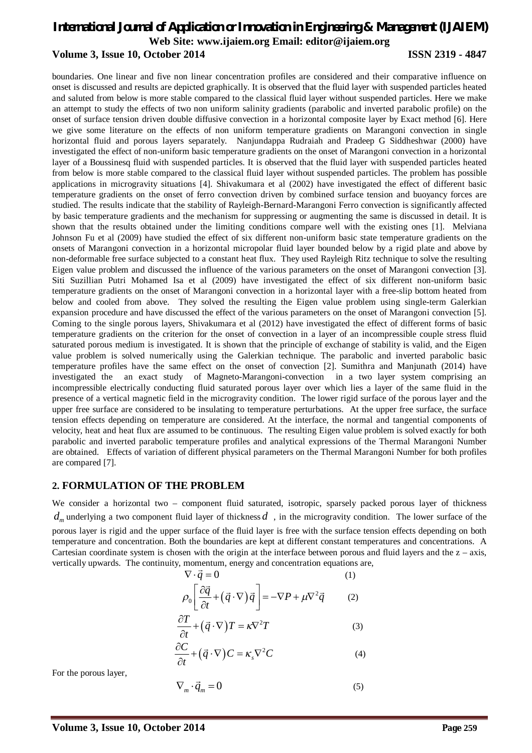boundaries. One linear and five non linear concentration profiles are considered and their comparative influence on onset is discussed and results are depicted graphically. It is observed that the fluid layer with suspended particles heated and saluted from below is more stable compared to the classical fluid layer without suspended particles. Here we make an attempt to study the effects of two non uniform salinity gradients (parabolic and inverted parabolic profile) on the onset of surface tension driven double diffusive convection in a horizontal composite layer by Exact method [6]. Here we give some literature on the effects of non uniform temperature gradients on Marangoni convection in single horizontal fluid and porous layers separately. Nanjundappa Rudraiah and Pradeep G Siddheshwar (2000) have investigated the effect of non-uniform basic temperature gradients on the onset of Marangoni convection in a horizontal layer of a Boussinesq fluid with suspended particles. It is observed that the fluid layer with suspended particles heated from below is more stable compared to the classical fluid layer without suspended particles. The problem has possible applications in microgravity situations [4]. Shivakumara et al (2002) have investigated the effect of different basic temperature gradients on the onset of ferro convection driven by combined surface tension and buoyancy forces are studied. The results indicate that the stability of Rayleigh-Bernard-Marangoni Ferro convection is significantly affected by basic temperature gradients and the mechanism for suppressing or augmenting the same is discussed in detail. It is shown that the results obtained under the limiting conditions compare well with the existing ones [1]. Melviana Johnson Fu et al (2009) have studied the effect of six different non-uniform basic state temperature gradients on the onsets of Marangoni convection in a horizontal micropolar fluid layer bounded below by a rigid plate and above by non-deformable free surface subjected to a constant heat flux. They used Rayleigh Ritz technique to solve the resulting Eigen value problem and discussed the influence of the various parameters on the onset of Marangoni convection [3]. Siti Suzillian Putri Mohamed Isa et al (2009) have investigated the effect of six different non-uniform basic temperature gradients on the onset of Marangoni convection in a horizontal layer with a free-slip bottom heated from below and cooled from above. They solved the resulting the Eigen value problem using single-term Galerkian expansion procedure and have discussed the effect of the various parameters on the onset of Marangoni convection [5]. Coming to the single porous layers, Shivakumara et al (2012) have investigated the effect of different forms of basic temperature gradients on the criterion for the onset of convection in a layer of an incompressible couple stress fluid saturated porous medium is investigated. It is shown that the principle of exchange of stability is valid, and the Eigen value problem is solved numerically using the Galerkian technique. The parabolic and inverted parabolic basic temperature profiles have the same effect on the onset of convection [2]. Sumithra and Manjunath (2014) have investigated the an exact study of Magneto-Marangoni-convection in a two layer system comprising an incompressible electrically conducting fluid saturated porous layer over which lies a layer of the same fluid in the presence of a vertical magnetic field in the microgravity condition. The lower rigid surface of the porous layer and the upper free surface are considered to be insulating to temperature perturbations. At the upper free surface, the surface tension effects depending on temperature are considered. At the interface, the normal and tangential components of velocity, heat and heat flux are assumed to be continuous. The resulting Eigen value problem is solved exactly for both parabolic and inverted parabolic temperature profiles and analytical expressions of the Thermal Marangoni Number are obtained. Effects of variation of different physical parameters on the Thermal Marangoni Number for both profiles are compared [7].

### **2. FORMULATION OF THE PROBLEM**

We consider a horizontal two – component fluid saturated, isotropic, sparsely packed porous layer of thickness  $d<sub>m</sub>$  underlying a two component fluid layer of thickness  $d<sub>n</sub>$ , in the microgravity condition. The lower surface of the porous layer is rigid and the upper surface of the fluid layer is free with the surface tension effects depending on both temperature and concentration. Both the boundaries are kept at different constant temperatures and concentrations. A Cartesian coordinate system is chosen with the origin at the interface between porous and fluid layers and the  $z - axis$ , vertically upwards. The continuity, momentum, energy and concentration equations are,

$$
\nabla \cdot \vec{q} = 0 \tag{1}
$$
\n
$$
\rho_0 \left[ \frac{\partial \vec{q}}{\partial t} + (\vec{q} \cdot \nabla) \vec{q} \right] = -\nabla P + \mu \nabla^2 \vec{q} \tag{2}
$$

$$
\frac{\partial T}{\partial t} + (\vec{q} \cdot \nabla)T = \kappa \nabla^2 T \tag{3}
$$

$$
\frac{\partial C}{\partial t} + (\vec{q} \cdot \nabla) C = \kappa_s \nabla^2 C \tag{4}
$$

For the porous layer,

$$
\nabla_m \cdot \vec{q}_m = 0 \tag{5}
$$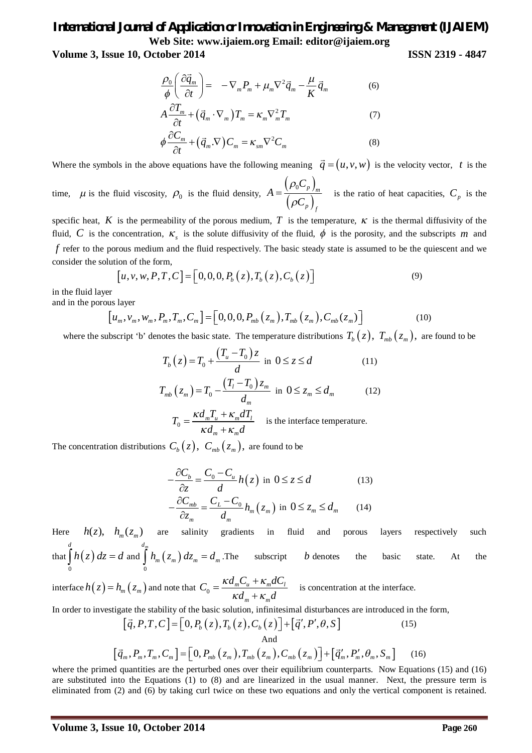**Volume 3, Issue 10, October 2014 ISSN 2319 - 4847**

$$
\frac{\rho_0}{\phi} \left( \frac{\partial \vec{q}_m}{\partial t} \right) = -\nabla_m P_m + \mu_m \nabla^2 \vec{q}_m - \frac{\mu}{K} \vec{q}_m \tag{6}
$$

$$
A\frac{\partial T_m}{\partial t} + (\vec{q}_m \cdot \nabla_m)T_m = \kappa_m \nabla_m^2 T_m \tag{7}
$$

$$
\phi \frac{\partial C_m}{\partial t} + (\vec{q}_m \cdot \nabla) C_m = \kappa_{sm} \nabla^2 C_m \tag{8}
$$

Where the symbols in the above equations have the following meaning  $\vec{q} = (u, v, w)$  is the velocity vector, *t* is the

time,  $\mu$  is the fluid viscosity,  $\rho_0$  is the fluid density,  $(\rho_0C_p)$  $(\rho C_p)$  $0 \sim p$  *m p f C A C*  $\rho$  $=\frac{(\sqrt{v^2 p})_m}{(\rho C_n)}$  is the ratio of heat capacities,  $C_p$  is the

specific heat,  $K$  is the permeability of the porous medium,  $T$  is the temperature,  $\kappa$  is the thermal diffusivity of the fluid, C is the concentration,  $\kappa$ <sub>s</sub> is the solute diffusivity of the fluid,  $\phi$  is the porosity, and the subscripts m and *f* refer to the porous medium and the fluid respectively. The basic steady state is assumed to be the quiescent and we consider the solution of the form,

$$
[u, v, w, P, T, C] = [0, 0, 0, P_b(z), T_b(z), C_b(z)]
$$
\n(9)

in the fluid layer

and in the porous layer

$$
[u_m, v_m, w_m, P_m, T_m, C_m] = [0, 0, 0, P_{mb}(z_m), T_{mb}(z_m), C_{mb}(z_m)]
$$
\n(10)

where the subscript 'b' denotes the basic state. The temperature distributions  $T_b(z)$ ,  $T_{mb}(z_m)$ , are found to be

$$
T_b(z) = T_0 + \frac{(T_u - T_0)z}{d} \text{ in } 0 \le z \le d \tag{11}
$$
  

$$
T_{mb}(z_m) = T_0 - \frac{(T_l - T_0)z_m}{d_m} \text{ in } 0 \le z_m \le d_m \tag{12}
$$

$$
T_0 = \frac{\kappa d_m T_u + \kappa_m dT_l}{\kappa d_m + \kappa_m d}
$$
 is the interface temperature.

The concentration distributions  $C_b(z)$ ,  $C_{mb}(z_m)$ , are found to be

$$
-\frac{\partial C_b}{\partial z} = \frac{C_0 - C_u}{d} h(z) \text{ in } 0 \le z \le d \tag{13}
$$

$$
-\frac{\partial C_{mb}}{\partial z_m} = \frac{C_L - C_0}{d_m} h_m(z_m) \text{ in } 0 \le z_m \le d_m \tag{14}
$$

Here  $h(z)$ ,  $h_m(z_m)$  are salinity gradients in fluid and porous layers respectively such that  $\mid h(z)\mid$ 0 0 *d*  $\int h(z) dz = d$  and  $\int h_m(z_m)$ *m d*  $\int h_m(z_m) dz_m = d_m$ . The subscript *b* denotes the basic state. At the

interface  $h(z) = h_m(z_m)$  and note that  $C_0 = \frac{\kappa a_m c_u + \kappa_m a c_l}{\kappa d}$  $m \sim m$  $C_0 = \frac{\kappa d_m C_u + \kappa_m dC}{I}$  $d_m + \kappa_m d$  $\kappa d_{m}C_{u} + \kappa_{m}$  $\kappa d_m + \kappa_m$  $=\frac{\kappa d_{m}C_{u}+}{\kappa}$  $\ddot{}$ is concentration at the interface.

In order to investigate the stability of the basic solution, infinitesimal disturbances are introduced in the form,  $(15)$ 

$$
\begin{bmatrix} \vec{q}, P, T, C \end{bmatrix} = \begin{bmatrix} 0, P_b(z), T_b(z), C_b(z) \end{bmatrix} + \begin{bmatrix} \vec{q}', P', \theta, S \end{bmatrix}
$$
(15)  
And  

$$
\begin{bmatrix} \vec{q}_m, P_m, T_m, C_m \end{bmatrix} = \begin{bmatrix} 0, P_{mb}(z_m), T_{mb}(z_m), C_{mb}(z_m) \end{bmatrix} + \begin{bmatrix} \vec{q}', P'_m, \theta_m, S_m \end{bmatrix}
$$
(16)

where the primed quantities are the perturbed ones over their equilibrium counterparts. Now Equations (15) and (16) are substituted into the Equations (1) to (8) and are linearized in the usual manner. Next, the pressure term is eliminated from (2) and (6) by taking curl twice on these two equations and only the vertical component is retained.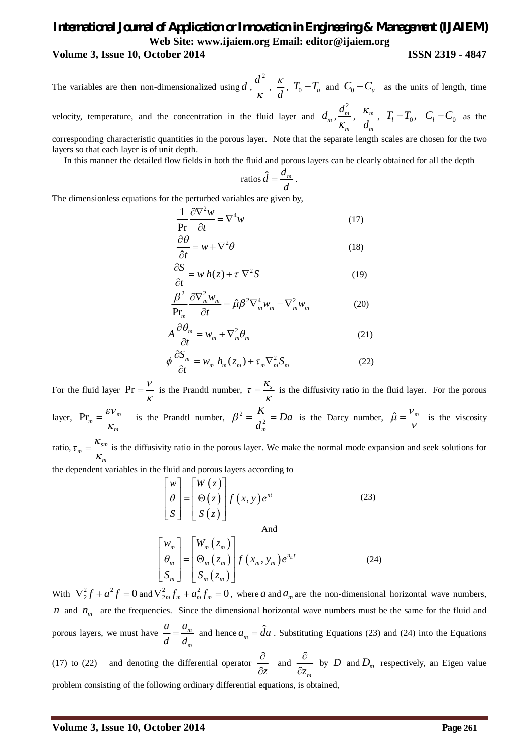#### **Volume 3, Issue 10, October 2014 ISSN 2319 - 4847**

The variables are then non-dimensionalized using *d* ,  $d^2$  $\frac{\pi}{\kappa}$ ,  $\frac{\pi}{d}$  $\frac{\kappa}{I}$ ,  $T_0 - T_u$  and  $C_0 - C_u$  as the units of length, time

velocity, temperature, and the concentration in the fluid layer and  $d_m$ , 2 *m m d*  $\frac{a_m}{\kappa}, \frac{a_m}{d}$ *m d*  $\frac{K_m}{I}$ ,  $T_l - T_0$ ,  $C_l - C_0$  as the

corresponding characteristic quantities in the porous layer. Note that the separate length scales are chosen for the two layers so that each layer is of unit depth.

In this manner the detailed flow fields in both the fluid and porous layers can be clearly obtained for all the depth

$$
ratios \hat{d} = \frac{d_m}{d}.
$$

The dimensionless equations for the perturbed variables are given by,

$$
\frac{1}{\Pr} \frac{\partial \nabla^2 w}{\partial t} = \nabla^4 w \tag{17}
$$

$$
\frac{\partial \theta}{\partial t} = w + \nabla^2 \theta \tag{18}
$$

$$
\frac{\partial S}{\partial t} = w h(z) + \tau \nabla^2 S \tag{19}
$$

$$
\frac{\beta^2}{\text{Pr}_m} \frac{\partial \nabla_m^2 w_m}{\partial t} = \hat{\mu} \beta^2 \nabla_m^4 w_m - \nabla_m^2 w_m \tag{20}
$$

$$
A\frac{\partial \theta_m}{\partial t} = W_m + \nabla_m^2 \theta_m \tag{21}
$$

$$
\phi \frac{\partial S_m}{\partial t} = W_m h_m(z_m) + \tau_m \nabla_m^2 S_m \tag{22}
$$

For the fluid layer  $\Pr = \frac{V}{K}$  is the Prandtl number,  $\tau = \frac{K_s}{K}$  $=\frac{\kappa_s}{\kappa}$  is the diffusivity ratio in the fluid layer. For the porous layer,  $Pr_m = \frac{CV_m}{12}$ *m*  $\varepsilon$ v  $=\frac{\epsilon v_m}{K}$  is the Prandtl number,  $\beta^2 = \frac{K}{d^2}$ *m*  $\frac{K}{a^2}$  = Da *d*  $\beta^2 = \frac{K}{d^2} = Da$  is the Darcy number,  $\hat{\mu} = \frac{V_m}{V}$  is the viscosity

ratio,  $\tau_m = \frac{\kappa_{sm}}{10}$ *m*  $\tau = \frac{\kappa}{\sqrt{2}}$  $=\frac{\kappa_{sm}}{\kappa}$  is the diffusivity ratio in the porous layer. We make the normal mode expansion and seek solutions for

the dependent variables in the fluid and porous layers according to

$$
\begin{bmatrix} w \\ \theta \\ S \end{bmatrix} = \begin{bmatrix} W(z) \\ \Theta(z) \\ S(z) \end{bmatrix} f(x, y) e^{nt}
$$
\n(23)

$$
\begin{bmatrix} w_m \\ \theta_m \\ S_m \end{bmatrix} = \begin{bmatrix} W_m(z_m) \\ \Theta_m(z_m) \\ S_m(z_m) \end{bmatrix} f(x_m, y_m) e^{n_m t}
$$
 (24)

With  $\nabla_2^2 f + a^2 f = 0$  and  $\nabla_{2m}^2 f_m + a_m^2 f_m = 0$ , where *a* and  $a_m$  are the non-dimensional horizontal wave numbers, *n* and  $n_m$  are the frequencies. Since the dimensional horizontal wave numbers must be the same for the fluid and porous layers, we must have  $\frac{a}{b} = \frac{a_m}{b_m}$ *m a a d d*  $=\frac{a_m}{I}$  and hence  $a_m = \hat{d}a$ . Substituting Equations (23) and (24) into the Equations

(17) to (22) and denoting the differential operator  $\frac{1}{\partial z}$  $\partial$  $\frac{\partial z}{\partial z}$  and *m z*  $\partial$  $\frac{\partial}{\partial z_m}$  by *D* and  $D_m$  respectively, an Eigen value problem consisting of the following ordinary differential equations, is obtained,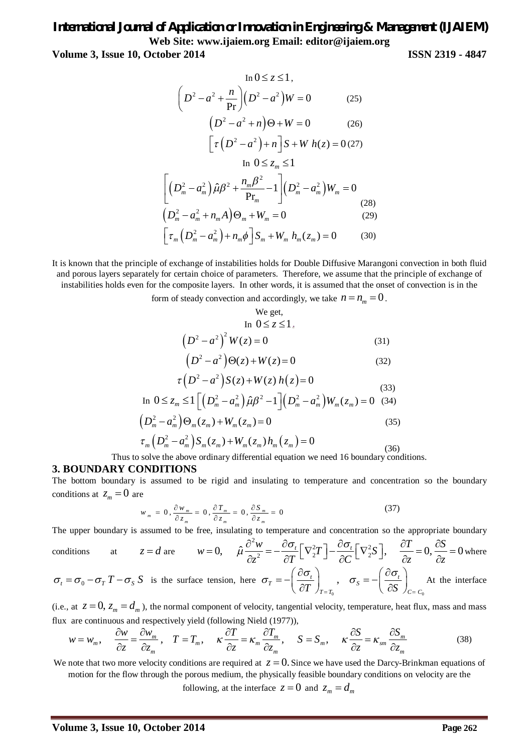**Volume 3, Issue 10, October 2014 ISSN 2319 - 4847**

$$
\ln 0 \le z \le 1,
$$
  

$$
\left(D^2 - a^2 + \frac{n}{\Pr}\right) \left(D^2 - a^2\right) W = 0
$$
 (25)

$$
(D2 - a2 + n) \Theta + W = 0
$$
 (26)  

$$
[\tau (D2 - a2) + n] S + W h(z) = 0
$$
 (27)

In 
$$
0 \le z_m \le 1
$$

$$
\left[ \left( D_m^2 - a_m^2 \right) \hat{\mu} \beta^2 + \frac{n_m \beta^2}{\Pr_m} - 1 \right] \left( D_m^2 - a_m^2 \right) W_m = 0
$$
\n
$$
\left( D_m^2 - a_m^2 + n_m A \right) \Theta_m + W_m = 0
$$
\n(28)\n(29)

$$
\[ \tau_m \left( D_m^2 - a_m^2 \right) + n_m \phi \] S_m + W_m h_m(z_m) = 0 \tag{30}
$$

It is known that the principle of exchange of instabilities holds for Double Diffusive Marangoni convection in both fluid and porous layers separately for certain choice of parameters. Therefore, we assume that the principle of exchange of instabilities holds even for the composite layers. In other words, it is assumed that the onset of convection is in the

form of steady convection and accordingly, we take  $n = n_m = 0$ .

We get,  
\n
$$
\ln 0 \le z \le 1.
$$
\n
$$
(D^2 - a^2)^2 W(z) = 0
$$
\n(31)  
\n
$$
(D^2 - a^2) \Theta(z) + W(z) = 0
$$
\n(32)  
\n
$$
\tau (D^2 - a^2) S(z) + W(z) h(z) = 0
$$
\n(33)  
\n
$$
\ln 0 \le z_m \le 1 \Big[ (D_m^2 - a_m^2) \hat{\mu} \hat{\mu}^2 - 1 \Big] (D_m^2 - a_m^2) W_m(z_m) = 0
$$
\n(34)  
\n
$$
(D_m^2 - a_m^2) \Theta_m(z_m) + W_m(z_m) = 0
$$
\n(35)

$$
\tau_m \left( D_m^2 - a_m^2 \right) S_m(z_m) + W_m(z_m) h_m(z_m) = 0
$$
\n(36)

Thus to solve the above ordinary differential equation we need 16 boundary conditions.

#### **3. BOUNDARY CONDITIONS**

The bottom boundary is assumed to be rigid and insulating to temperature and concentration so the boundary conditions at  $z_m = 0$  are

$$
w_m = 0, \frac{\partial w_m}{\partial z_m} = 0, \frac{\partial T_m}{\partial z_m} = 0, \frac{\partial S_m}{\partial z_m} = 0
$$
\n(37)

The upper boundary is assumed to be free, insulating to temperature and concentration so the appropriate boundary

conditions at 
$$
z = d
$$
 are  $w = 0$ ,  $\hat{\mu} \frac{\partial^2 w}{\partial z^2} = -\frac{\partial \sigma_t}{\partial T} \left[ \nabla^2 T \right] - \frac{\partial \sigma_t}{\partial C} \left[ \nabla^2 S \right]$ ,  $\frac{\partial T}{\partial z} = 0$ ,  $\frac{\partial S}{\partial z} = 0$  where  $\sigma_t = \sigma_0 - \sigma_T T - \sigma_S S$  is the surface tension, here  $\sigma_T = -\left(\frac{\partial \sigma_t}{\partial T}\right)_{T=T_0}$ ,  $\sigma_S = -\left(\frac{\partial \sigma_t}{\partial S}\right)_{C=C_0}$ At the interface

(i.e., at  $z = 0$ ,  $z_m = d_m$ ), the normal component of velocity, tangential velocity, temperature, heat flux, mass and mass flux are continuous and respectively yield (following Nield (1977)),

$$
w = w_m, \quad \frac{\partial w}{\partial z} = \frac{\partial w_m}{\partial z_m}, \quad T = T_m, \quad \kappa \frac{\partial T}{\partial z} = \kappa_m \frac{\partial T_m}{\partial z_m}, \quad S = S_m, \quad \kappa \frac{\partial S}{\partial z} = \kappa_{sm} \frac{\partial S_m}{\partial z_m}
$$
(38)

We note that two more velocity conditions are required at  $z = 0$ . Since we have used the Darcy-Brinkman equations of motion for the flow through the porous medium, the physically feasible boundary conditions on velocity are the

following, at the interface  $z = 0$  and  $z_m = d_m$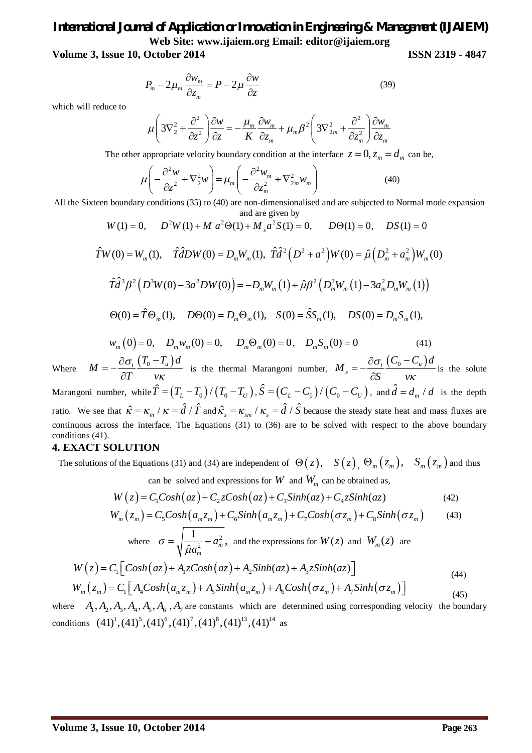**Volume 3, Issue 10, October 2014 ISSN 2319 - 4847**

$$
P_m - 2\mu_m \frac{\partial w_m}{\partial z_m} = P - 2\mu \frac{\partial w}{\partial z}
$$
 (39)

which will reduce to

$$
\mu \left( 3\nabla_2^2 + \frac{\partial^2}{\partial z^2} \right) \frac{\partial w}{\partial z} = -\frac{\mu_m}{K} \frac{\partial w_m}{\partial z_m} + \mu_m \beta^2 \left( 3\nabla_{2m}^2 + \frac{\partial^2}{\partial z_m^2} \right) \frac{\partial w_m}{\partial z_m}
$$

The other appropriate velocity boundary condition at the interface  $z = 0$ ,  $z_m = d_m$  can be,

$$
\mu \left( -\frac{\partial^2 w}{\partial z^2} + \nabla_2^2 w \right) = \mu_m \left( -\frac{\partial^2 w_m}{\partial z_m^2} + \nabla_{2m}^2 w_m \right)
$$
(40)

All the Sixteen boundary conditions (35) to (40) are non-dimensionalised and are subjected to Normal mode expansion and are given by

$$
W(1) = 0, \qquad D^2 W(1) + M a^2 \Theta(1) + M_s a^2 S(1) = 0, \qquad D\Theta(1) = 0, \qquad DS(1) = 0
$$

$$
\hat{T}W(0) = W_m(1), \quad \hat{T}\hat{d}DW(0) = D_mW_m(1), \quad \hat{T}\hat{d}^2 \left(D^2 + a^2\right)W(0) = \hat{\mu}\left(D_m^2 + a_m^2\right)W_m(0)
$$
\n
$$
\hat{T}\hat{d}^3 \beta^2 \left(D^3W(0) - 3a^2DW(0)\right) = -D_mW_m(1) + \hat{\mu}\beta^2 \left(D_m^3W_m(1) - 3a_m^2D_mW_m(1)\right)
$$
\n
$$
\Theta(0) = \hat{T}\Theta_m(1), \quad D\Theta(0) = D_m\Theta_m(1), \quad S(0) = \hat{S}S_m(1), \quad DS(0) = D_mS_m(1),
$$
\n
$$
\hat{S}(\hat{0}) = \hat{S}(\hat{0}) = \hat{S}(\hat{0}) = \hat{S}(\hat{0}) = \hat{S}(\hat{0}) = \hat{S}(\hat{0}) = \hat{S}(\hat{0}) = \hat{S}(\hat{0}) = \hat{S}(\hat{0}) = \hat{S}(\hat{0}) = \hat{S}(\hat{0}) = \hat{S}(\hat{0}) = \hat{S}(\hat{0}) = \hat{S}(\hat{0}) = \hat{S}(\hat{0}) = \hat{S}(\hat{0}) = \hat{S}(\hat{0}) = \hat{S}(\hat{0}) = \hat{S}(\hat{0}) = \hat{S}(\hat{0}) = \hat{S}(\hat{0}) = \hat{S}(\hat{0}) = \hat{S}(\hat{0}) = \hat{S}(\hat{0}) = \hat{S}(\hat{0}) = \hat{S}(\hat{0}) = \hat{S}(\hat{0}) = \hat{S}(\hat{0}) = \hat{S}(\hat{0}) = \hat{S}(\hat{0}) = \hat{S}(\hat{0}) = \hat{S}(\hat{0}) = \hat{S}(\hat{0}) = \hat{S}(\hat{0}) = \hat{S}(\hat{0}) = \hat{S}(\hat{0}) = \hat{S}(\hat{0}) = \hat{S}(\hat{0}) = \hat{S}(\hat{0}) = \hat{S}(\hat{0}) = \hat{S}(\hat{0}) = \hat{S}(\hat{0}) = \hat{S}(\hat{0}) = \hat{S}(\hat{0}) = \hat{S}(\hat{0}) = \hat{S}(\hat{0
$$

$$
w_m(0) = 0, \quad D_m w_m(0) = 0, \quad D_m \Theta_m(0) = 0, \quad D_m S_m(0) = 0 \tag{41}
$$

Where  $M = -\frac{\partial \sigma_t}{\partial x} \left( \frac{T_0 - T_u}{T_0} \right) d$ *M T v* σ Ƙ  $=-\frac{\partial \sigma_t}{\partial x}(T_0 \frac{\partial \sigma_t}{\partial T} \frac{(T_0 - T_u) d}{\nu \kappa}$  is the thermal Marangoni number,  $M_s = -\frac{\partial \sigma_t}{\partial S} \frac{(C_0 - C_u)}{\nu \kappa}$  $C_0 - C_u d$ *M S v* σ ĸ  $=-\frac{\partial \sigma_t}{\partial \sigma_t} \frac{(C_0 \partial$ is the solute Marangoni number, while  $\hat{T} = (T_L - T_0) / (T_0 - T_U)$  ,  $\hat{S} = (C_L - C_0) / (C_0 - C_U)$  , and  $\hat{d} = d_m / d$  is the depth ratio. We see that  $\hat{\kappa} = \kappa_m / \kappa = \hat{d} / \hat{T}$  and  $\hat{\kappa}_s = \kappa_{sm} / \kappa_s = \hat{d} / \hat{S}$  because the steady state heat and mass fluxes are continuous across the interface. The Equations (31) to (36) are to be solved with respect to the above boundary

### **4. EXACT SOLUTION**

conditions (41).

The solutions of the Equations (31) and (34) are independent of  $\Theta(z)$ ,  $S(z)$ ,  $\Theta_m(z_m)$ ,  $S_m(z_m)$  and thus

can be solved and expressions for  $W$  and  $W<sub>m</sub>$  can be obtained as,

$$
W(z) = C_1 \text{Cosh}(az) + C_2 \text{Cosh}(az) + C_3 \text{Sinh}(az) + C_4 \text{Sinh}(az)
$$
\n<sup>(42)</sup>

$$
W_m(z_m) = C_5 \cosh\left(a_m z_m\right) + C_6 \sinh\left(a_m z_m\right) + C_7 \cosh\left(\sigma z_m\right) + C_8 \sinh\left(\sigma z_m\right) \tag{43}
$$

where 
$$
\sigma = \sqrt{\frac{1}{\hat{\mu}a_m^2} + a_m^2}
$$
, and the expressions for  $W(z)$  and  $W_m(z)$  are

$$
W(z) = C_1 \left[ \cosh(az) + A_1 z \cosh(az) + A_2 \sinh(az) + A_3 z \sinh(az) \right]
$$
\n
$$
(44)
$$

$$
W_m(z_m) = C_1 \left[ A_4 \text{Cosh}\left(a_m z_m\right) + A_5 \text{Sinh}\left(a_m z_m\right) + A_6 \text{Cosh}\left(\sigma z_m\right) + A_7 \text{Sinh}\left(\sigma z_m\right) \right] \tag{45}
$$

where  $A_1, A_2, A_3, A_4, A_5, A_6, A_7$  are constants which are determined using corresponding velocity the boundary conditions  $(41)^1$ , $(41)^5$ , $(41)^6$ , $(41)^7$ , $(41)^8$ , $(41)^{13}$ , $(41)^{14}$  as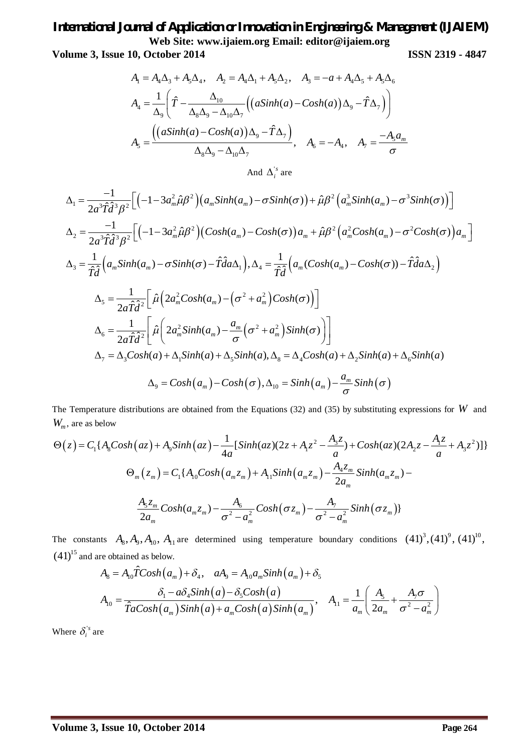**Volume 3, Issue 10, October 2014 ISSN 2319 - 4847**

$$
A_1 = A_4 \Delta_3 + A_5 \Delta_4, \quad A_2 = A_4 \Delta_1 + A_5 \Delta_2, \quad A_3 = -a + A_4 \Delta_5 + A_5 \Delta_6
$$

$$
A_4 = \frac{1}{\Delta_9} \left( \hat{T} - \frac{\Delta_{10}}{\Delta_8 \Delta_9 - \Delta_{10} \Delta_7} \left( \left( a \sinh(a) - \cosh(a) \right) \Delta_9 - \hat{T} \Delta_7 \right) \right)
$$

$$
A_5 = \frac{\left( \left( a \sinh(a) - \cosh(a) \right) \Delta_9 - \hat{T} \Delta_7 \right)}{\Delta_8 \Delta_9 - \Delta_{10} \Delta_7}, \quad A_6 = -A_4, \quad A_7 = \frac{-A_5 a_m}{\sigma}
$$

And  $\Delta_i^{s}$  are

$$
\Delta_{1} = \frac{-1}{2a^{3}\hat{T}\hat{d}^{3}\beta^{2}} \Big[ \Big( -1 - 3a_{m}^{2}\hat{\mu}\beta^{2} \Big) \Big( a_{m}Sinh(a_{m}) - \sigma Sinh(\sigma) \Big) + \hat{\mu}\beta^{2} \Big( a_{m}^{3}Sinh(a_{m}) - \sigma^{3}Sinh(\sigma) \Big) \Big]
$$
  
\n
$$
\Delta_{2} = \frac{-1}{2a^{3}\hat{T}\hat{d}^{3}\beta^{2}} \Big[ \Big( -1 - 3a_{m}^{2}\hat{\mu}\beta^{2} \Big) \Big( Cosh(a_{m}) - Cosh(\sigma) \Big) a_{m} + \hat{\mu}\beta^{2} \Big( a_{m}^{2}Cosh(a_{m}) - \sigma^{2}Cosh(\sigma) \Big) a_{m} \Big]
$$
  
\n
$$
\Delta_{3} = \frac{1}{\hat{T}\hat{d}} \Big( a_{m}Sinh(a_{m}) - \sigma Sinh(\sigma) - \hat{T}\hat{d}a\Delta_{1} \Big), \Delta_{4} = \frac{1}{\hat{T}\hat{d}} \Big( a_{m}(Cosh(a_{m}) - Cosh(\sigma)) - \hat{T}\hat{d}a\Delta_{2} \Big)
$$
  
\n
$$
\Delta_{5} = \frac{1}{2a\hat{T}\hat{d}^{2}} \Big[ \hat{\mu} \Big( 2a_{m}^{2}Cosh(a_{m}) - \Big(\sigma^{2} + a_{m}^{2} \Big) Cosh(\sigma) \Big) \Big]
$$
  
\n
$$
\Delta_{6} = \frac{1}{2a\hat{T}\hat{d}^{2}} \Big[ \hat{\mu} \Big( 2a_{m}^{2}Sinh(a_{m}) - \frac{a_{m}}{\sigma} \Big(\sigma^{2} + a_{m}^{2} \Big) Sinh(\sigma) \Big) \Big]
$$
  
\n
$$
\Delta_{7} = \Delta_{3}Cosh(a) + \Delta_{1}Sinh(a) + \Delta_{5}Sinh(a), \Delta_{8} = \Delta_{4}Cosh(a) + \Delta_{2}Sinh(a) + \Delta_{6}Sinh(a)
$$
  
\n
$$
\Delta_{9} = Cosh(a_{m}) - Cosh(\sigma), \Delta_{10} = Sinh(a_{m}) - \frac{a_{m}}{\sigma} Sinh(\sigma)
$$

The Temperature distributions are obtained from the Equations (32) and (35) by substituting expressions for *W* and *Wm* , are as below

$$
\Theta(z) = C_1 \{ A_8 \cosh(az) + A_9 \sinh(az) - \frac{1}{4a} [\sinh(az)(2z + A_1 z^2 - \frac{A_3 z}{a}) + \cosh(az)(2A_2 z - \frac{A_1 z}{a} + A_3 z^2)] \}
$$
  

$$
\Theta_m(z_m) = C_1 \{ A_1 \cosh(az_m) + A_1 \sinh(az_m) - \frac{A_4 z_m}{2a_m} \sinh(az_m) - \frac{A_5 z_m}{2a_m} \cosh(az_m) - \frac{A_6}{\sigma^2 - a_m^2} \cosh(\sigma z_m) - \frac{A_7}{\sigma^2 - a_m^2} \sinh(\sigma z_m) \}
$$

The constants  $A_8$ ,  $A_9$ ,  $A_{10}$ ,  $A_{11}$  are determined using temperature boundary conditions  $(41)^3$ ,  $(41)^9$ ,  $(41)^{10}$ ,  $(41)^{15}$  and are obtained as below.

$$
A_8 = A_{10}\hat{T}Cosh(a_m) + \delta_4, \quad aA_9 = A_{10}a_m\sinh(a_m) + \delta_5
$$
  

$$
A_{10} = \frac{\delta_1 - a\delta_4\sinh(a) - \delta_5Cosh(a)}{\hat{T}aCosh(a_m)\sinh(a) + a_m\cosh(a)\sinh(a_m)}, \quad A_{11} = \frac{1}{a_m}\left(\frac{A_5}{2a_m} + \frac{A_7\sigma}{\sigma^2 - a_m^2}\right)
$$

Where  $\delta_i^{\prime s}$  are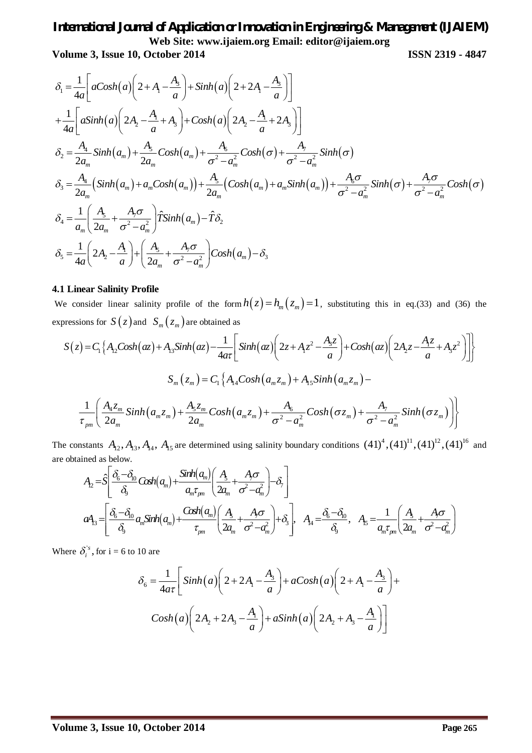**Volume 3, Issue 10, October 2014 ISSN 2319 - 4847**

$$
\delta_1 = \frac{1}{4a} \left[ aCosh(a) \left( 2 + A_1 - \frac{A_3}{a} \right) + Sinh(a) \left( 2 + 2A_1 - \frac{A_3}{a} \right) \right]
$$
  
\n
$$
+ \frac{1}{4a} \left[ aSinh(a) \left( 2A_2 - \frac{A_1}{a} + A_3 \right) + Cosh(a) \left( 2A_2 - \frac{A_1}{a} + 2A_3 \right) \right]
$$
  
\n
$$
\delta_2 = \frac{A_4}{2a_m} Sinh(a_m) + \frac{A_5}{2a_m} Cosh(a_m) + \frac{A_6}{\sigma^2 - a_m^2} Cosh(\sigma) + \frac{A_7}{\sigma^2 - a_m^2} Sinh(\sigma)
$$
  
\n
$$
\delta_3 = \frac{A_4}{2a_m} (Sinh(a_m) + a_m Cosh(a_m)) + \frac{A_5}{2a_m} (Cosh(a_m) + a_m Sinh(a_m)) + \frac{A_6 \sigma}{\sigma^2 - a_m^2} Sinh(\sigma) + \frac{A_7 \sigma}{\sigma^2 - a_m^2} Cosh(\sigma)
$$
  
\n
$$
\delta_4 = \frac{1}{a_m} \left( \frac{A_5}{2a_m} + \frac{A_7 \sigma}{\sigma^2 - a_m^2} \right) \hat{T} Sinh(a_m) - \hat{T} \delta_2
$$
  
\n
$$
\delta_5 = \frac{1}{4a} \left( 2A_2 - \frac{A_1}{a} \right) + \left( \frac{A_5}{2a_m} + \frac{A_7 \sigma}{\sigma^2 - a_m^2} \right) Cosh(a_m) - \delta_3
$$

#### **4.1 Linear Salinity Profile**

We consider linear salinity profile of the form  $h(z) = h_m(z_m) = 1$ , substituting this in eq.(33) and (36) the expressions for  $S(z)$  and  $S_m(z_m)$  are obtained as

$$
S(z) = C_1 \left\{ A_1 \cosh(az) + A_1 \sinh(az) - \frac{1}{4\alpha \tau} \left[ \sinh(az) \left( 2z + A_1 z^2 - \frac{A_3 z}{a} \right) + \cosh(az) \left( 2A_2 z - \frac{A_1 z}{a} + A_3 z^2 \right) \right] \right\}
$$
  

$$
S_m(z_m) = C_1 \left\{ A_1 \cosh(a_m z_m) + A_1 \sinh(a_m z_m) - \frac{1}{\tau_{pm}} \left( \frac{A_4 z_m}{2a_m} \sinh(a_m z_m) + \frac{A_5 z_m}{2a_m} \cosh(a_m z_m) + \frac{A_6}{\sigma^2 - a_m^2} \cosh(\sigma z_m) + \frac{A_7}{\sigma^2 - a_m^2} \sinh(\sigma z_m) \right) \right\}
$$

The constants  $A_{12}$ ,  $A_{13}$ ,  $A_{14}$ ,  $A_{15}$  are determined using salinity boundary conditions  $(41)^4$ ,  $(41)^{11}$ ,  $(41)^{12}$ ,  $(41)^{16}$  and are obtained as below.

$$
A_2 = \hat{S} \left[ \frac{\delta_6 - \delta_{0}}{\delta_3} \cosh(a_m) + \frac{\sinh(a_m)}{a_m \tau_{pm}} \left( \frac{A_5}{2a_m} + \frac{A_7 \sigma}{\sigma^2 - a_m^2} \right) - \delta_7 \right]
$$
  

$$
aA_3 = \left[ \frac{\delta_6 - \delta_{00}}{\delta_9} a_m \sinh(a_m) + \frac{\cosh(a_m)}{\tau_{pm}} \left( \frac{A_5}{2a_m} + \frac{A_7 \sigma}{\sigma^2 - a_m^2} \right) + \delta_3 \right], \quad A_4 = \frac{\delta_6 - \delta_{00}}{\delta_9}, \quad A_5 = \frac{1}{a_m \tau_{pm}} \left( \frac{A_5}{2a_m} + \frac{A_7 \sigma}{\sigma^2 - a_m^2} \right)
$$

Where  $\delta_i^{\prime s}$ ,  $\delta_i^s$ , for i = 6 to 10 are

$$
\delta_6 = \frac{1}{4a\tau} \bigg[ \sinh\left(a\right) \bigg(2 + 2A_1 - \frac{A_3}{a}\bigg) + a \cosh\left(a\right) \bigg(2 + A_1 - \frac{A_3}{a}\bigg) +
$$
  

$$
\cosh\left(a\right) \bigg(2A_2 + 2A_3 - \frac{A_1}{a}\bigg) + a \sinh\left(a\right) \bigg(2A_2 + A_3 - \frac{A_1}{a}\bigg)\bigg]
$$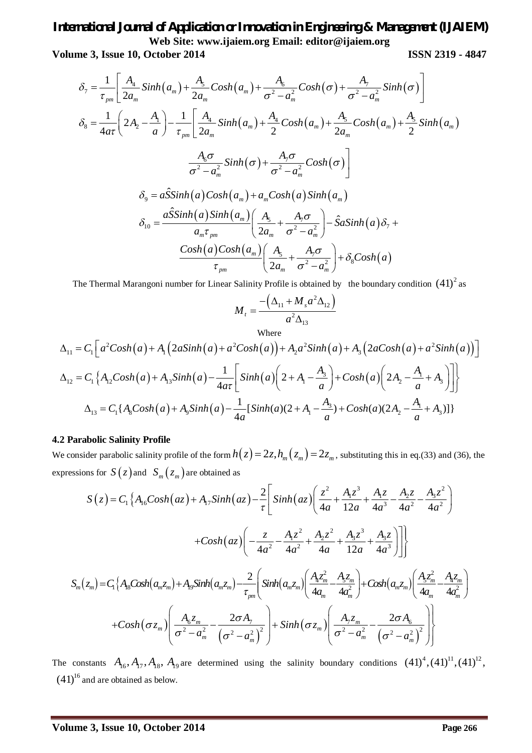**Volume 3, Issue 10, October 2014 ISSN 2319 - 4847**

$$
\delta_7 = \frac{1}{\tau_{pm}} \left[ \frac{A_4}{2a_m} \sinh(a_m) + \frac{A_5}{2a_m} \cosh(a_m) + \frac{A_6}{\sigma^2 - a_m^2} \cosh(\sigma) + \frac{A_7}{\sigma^2 - a_m^2} \sinh(\sigma) \right]
$$
  
\n
$$
\delta_8 = \frac{1}{4a\tau} \left( 2A_2 - \frac{A_1}{a} \right) - \frac{1}{\tau_{pm}} \left[ \frac{A_4}{2a_m} \sinh(a_m) + \frac{A_4}{2} \cosh(a_m) + \frac{A_5}{2a_m} \cosh(a_m) + \frac{A_5}{2} \sinh(a_m) \right]
$$
  
\n
$$
\frac{A_6 \sigma}{\sigma^2 - a_m^2} \sinh(\sigma) + \frac{A_7 \sigma}{\sigma^2 - a_m^2} \cosh(\sigma) \right]
$$
  
\n
$$
\delta_9 = a \hat{S} \sinh(a) \cosh(a_m) + a_m \cosh(a) \sinh(a_m)
$$
  
\n
$$
\delta_{10} = \frac{a \hat{S} \sinh(a) \sinh(a_m)}{a_m \tau_{pm}} \left( \frac{A_5}{2a_m} + \frac{A_7 \sigma}{\sigma^2 - a_m^2} \right) - \hat{S} a \sinh(a) \delta_7 + \frac{\cosh(a) \cosh(a_m) \cosh(a_m)}{\tau_{pm}} \left( \frac{A_5}{2a_m} + \frac{A_7 \sigma}{\sigma^2 - a_m^2} \right) + \delta_8 \cosh(a)
$$

The Thermal Marangoni number for Linear Salinity Profile is obtained by the boundary condition  $(41)^2$  as

$$
M_{t} = \frac{-\left(\Delta_{11} + M_{s}a^{2}\Delta_{12}\right)}{a^{2}\Delta_{13}}
$$

Where  
\n
$$
\Delta_{11} = C_1 \Big[ a^2 \cosh(a) + A_1 \Big( 2a \sinh(a) + a^2 \cosh(a) \Big) + A_2 a^2 \sinh(a) + A_3 \Big( 2a \cosh(a) + a^2 \sinh(a) \Big) \Big]
$$
\n
$$
\Delta_{12} = C_1 \Big\{ A_{12} \cosh(a) + A_{13} \sinh(a) - \frac{1}{4a\tau} \Big[ \sinh(a) \Big( 2 + A_1 - \frac{A_3}{a} \Big) + \cosh(a) \Big( 2A_2 - \frac{A_1}{a} + A_3 \Big) \Big] \Big\}
$$
\n
$$
\Delta_{13} = C_1 \Big\{ A_8 \cosh(a) + A_9 \sinh(a) - \frac{1}{4a} \Big[ \sinh(a) (2 + A_1 - \frac{A_3}{a}) + \cosh(a) (2A_2 - \frac{A_1}{a} + A_3) \Big] \Big\}
$$

#### **4.2 Parabolic Salinity Profile**

We consider parabolic salinity profile of the form  $h(z) = 2z, h_m(z_m) = 2z_m$ , substituting this in eq.(33) and (36), the expressions for  $S(z)$  and  $S_m(z_m)$  are obtained as

$$
S(z) = C_1 \left\{ A_{16}Cosh(az) + A_{17}Sinh(az) - \frac{2}{\tau} \left[ Sinh(az) \left( \frac{z^2}{4a} + \frac{A_1 z^3}{12a} + \frac{A_2 z}{4a^3} - \frac{A_2 z}{4a^2} - \frac{A_3 z^2}{4a^2} \right) \right.\n\left. + \frac{Cosh(az)}{4a^2} \left( -\frac{z}{4a^2} - \frac{A_1 z^2}{4a^2} + \frac{A_2 z^2}{4a} + \frac{A_3 z^3}{12a} + \frac{A_3 z}{4a^3} \right) \right] \right\}
$$
\n
$$
S_m(z_m) = C_1 \left\{ A_8Cosh(a_m z_m) + A_9Sinh(a_m z_m) - \frac{2}{\tau_{pm}} \left( Sinh(a_m z_m) \left( \frac{A_4 z_m^2}{4a_m} - \frac{A_5 z_m}{4a_m^2} \right) + Cosh(a_m z_m) \left( \frac{A_5 z_m^2}{4a_m} - \frac{A_4 z_m}{4a_m^2} \right) \right.\n\left. + \frac{Cosh(\sigma z_m)}{\sigma^2 - \sigma_m^2} \left( \frac{A_6 z_m}{\sigma^2 - \sigma_m^2} - \frac{2\sigma A_7}{(\sigma^2 - \sigma_m^2)^2} \right) \right\}
$$

The constants  $A_{16}$ ,  $A_{17}$ ,  $A_{18}$ ,  $A_{19}$  are determined using the salinity boundary conditions  $(41)^4$ ,  $(41)^{11}$ ,  $(41)^{12}$ ,  $(41)^{16}$  and are obtained as below.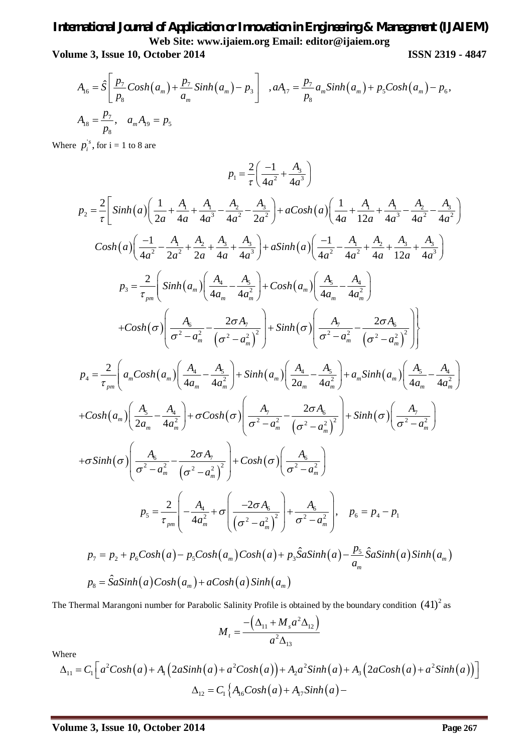**Volume 3, Issue 10, October 2014 ISSN 2319 - 4847**

$$
A_{16} = \hat{S} \left[ \frac{p_7}{p_8} \cosh(a_m) + \frac{p_7}{a_m} \sinh(a_m) - p_3 \right], aA_{17} = \frac{p_7}{p_8} a_m \sinh(a_m) + p_5 \cosh(a_m) - p_6,
$$
  

$$
A_{18} = \frac{p_7}{p_8}, \quad a_m A_{19} = p_5
$$

Where  $p_i^{\prime s}$ ,  $p_i^s$ , for i = 1 to 8 are

$$
p_{1} = \frac{2}{\tau} \left( \frac{-1}{4a^{2}} + \frac{A_{3}}{4a^{3}} \right)
$$
\n
$$
p_{2} = \frac{2}{\tau} \left[ \sinh(a) \left( \frac{1}{2a} + \frac{A_{1}}{4a} + \frac{A_{1}}{4a^{3}} - \frac{A_{2}}{4a^{2}} - \frac{A_{3}}{2a^{2}} \right) + aCosh(a) \left( \frac{1}{4a} + \frac{A_{1}}{12a} + \frac{A_{2}}{4a^{3}} - \frac{A_{2}}{4a^{2}} - \frac{A_{3}}{4a^{2}} \right) \right]
$$
\n
$$
Cosh(a) \left( \frac{-1}{4a^{2}} - \frac{A_{1}}{2a^{2}} + \frac{A_{2}}{2a} + \frac{A_{3}}{4a} + \frac{A_{3}}{4a^{3}} \right) + aSinh(a) \left( \frac{-1}{4a^{2}} - \frac{A_{1}}{4a^{2}} + \frac{A_{2}}{4a} + \frac{A_{3}}{4a^{3}} \right)
$$
\n
$$
p_{3} = \frac{2}{\tau_{pm}} \left( \sinh(a_{m}) \left( \frac{A_{4}}{4a_{m}} - \frac{A_{3}}{4a_{m}^{2}} \right) + \cosh(a_{m}) \left( \frac{A_{5}}{4a_{m}} - \frac{A_{4}}{4a_{m}^{2}} \right) \right)
$$
\n
$$
+ Cosh(\sigma) \left( \frac{A_{6}}{\sigma^{2} - a_{m}^{2}} - \frac{2\sigma A_{7}}{(\sigma^{2} - a_{m}^{2})^{2}} \right) + \sinh(\sigma) \left( \frac{A_{7}}{\sigma^{2} - a_{m}^{2}} - \frac{2\sigma A_{6}}{(\sigma^{2} - a_{m}^{2})^{2}} \right) \right)
$$
\n
$$
p_{4} = \frac{2}{\tau_{pm}} \left( a_{m} \cosh(a_{m}) \left( \frac{A_{4}}{4a_{m}} - \frac{A_{5}}{4a_{m}^{2}} \right) + \sinh(a_{m}) \left( \frac{A_{4}}{2a_{m}} - \frac{A_{5}}{4a_{m}^{2}} \right) + a_{m} \sinh(a_{m}) \left( \frac{A_{5}}{4a_{m}} -
$$

The Thermal Marangoni number for Parabolic Salinity Profile is obtained by the boundary condition  $(41)^2$  as

$$
M_{t} = \frac{-\left(\Delta_{11} + M_{s}a^{2}\Delta_{12}\right)}{a^{2}\Delta_{13}}
$$

Where

$$
\Delta_{11} = C_1 \Big[ a^2 \cosh(a) + A_1 \Big( 2a \sinh(a) + a^2 \cosh(a) \Big) + A_2 a^2 \sinh(a) + A_3 \Big( 2a \cosh(a) + a^2 \sinh(a) \Big) \Big] \n\Delta_{12} = C_1 \Big\{ A_{16} \cosh(a) + A_{17} \sinh(a) - A_{18} \sinh(a) \Big\}
$$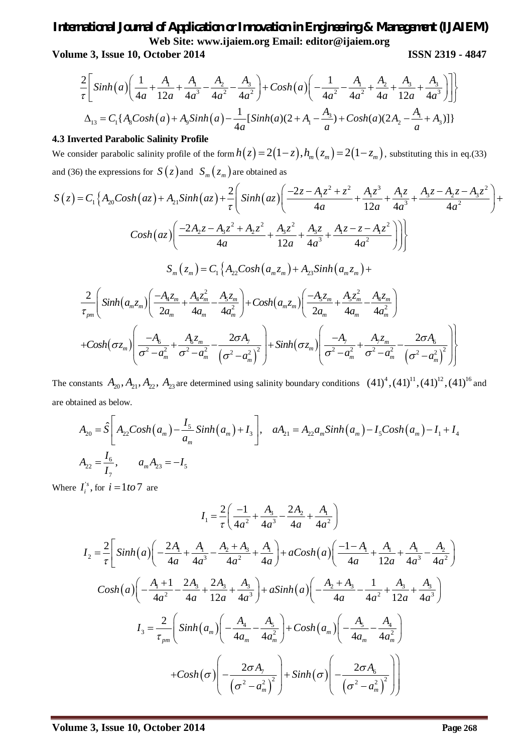**Volume 3, Issue 10, October 2014 ISSN 2319 - 4847**

$$
\frac{2}{\tau} \Bigg[ \sinh\left(a\right) \Bigg( \frac{1}{4a} + \frac{A_1}{12a} + \frac{A_1}{4a^3} - \frac{A_2}{4a^2} - \frac{A_3}{4a^2} \Bigg) + \cosh\left(a\right) \Bigg( -\frac{1}{4a^2} - \frac{A_1}{4a^2} + \frac{A_2}{4a} + \frac{A_3}{12a} + \frac{A_3}{4a^3} \Bigg) \Bigg] \Bigg\}
$$
  

$$
\Delta_{13} = C_1 \{ A_8 \cosh\left(a\right) + A_9 \sinh\left(a\right) - \frac{1}{4a} \left[ \sinh\left(a\right) \left(2 + A_1 - \frac{A_3}{a}\right) + \cosh\left(a\right) \left(2A_2 - \frac{A_1}{a} + A_3\right) \right] \}
$$

#### **4.3 Inverted Parabolic Salinity Profile**

We consider parabolic salinity profile of the form  $h(z) = 2(1-z)$ ,  $h_m(z_m) = 2(1-z_m)$ , substituting this in eq.(33) and (36) the expressions for  $S(z)$  and  $S_m(z_m)$  are obtained as

$$
S(z) = C_{1} \left\{ A_{20}Cosh(az) + A_{21}Sinh(az) + \frac{2}{\tau} \left( Sinh(az) \left( \frac{-2z - A_{1}z^{2} + z^{2}}{4a} + \frac{A_{1}z^{3}}{12a} + \frac{A_{1}z}{4a^{3}} + \frac{A_{3}z - A_{2}z - A_{3}z^{2}}{4a^{2}} \right) + \frac{Cosh(az) \left( \frac{-2A_{2}z - A_{3}z^{2} + A_{2}z^{2}}{4a} + \frac{A_{3}z^{2}}{12a} + \frac{A_{3}z^{2}}{4a^{3}} + \frac{A_{1}z - z - A_{1}z^{2}}{4a^{2}} \right) \right\}}{\left\{ S_{m}(z_{m}) = C_{1} \left\{ A_{22}Cosh(a_{m}z_{m}) + A_{23}Sinh(a_{m}z_{m}) + \frac{2}{\tau_{pm}} \left( Sinh(a_{m}z_{m}) \left( \frac{-A_{4}z_{m}}{2a_{m}} + \frac{A_{4}z_{m}^{2}}{4a_{m}} - \frac{A_{5}z_{m}}{4a_{m}^{2}} \right) + \frac{Cosh(a_{m}z_{m}) \left( \frac{-A_{5}z_{m}}{2a_{m}} + \frac{A_{5}z_{m}^{2}}{4a_{m}^{2}} - \frac{A_{4}z_{m}}{4a_{m}^{2}} \right) \right\}} + \frac{Cosh(\sigma z_{m}) \left( \frac{-A_{6}}{\sigma^{2} - a_{m}^{2}} + \frac{A_{6}z_{m}}{\sigma^{2} - a_{m}^{2}} - \frac{2\sigma A_{7}}{(\sigma^{2} - a_{m}^{2})^{2}} \right) + \sinh(\sigma z_{m}) \left( \frac{-A_{7}}{\sigma^{2} - a_{m}^{2}} + \frac{A_{7}z_{m}}{\sigma^{2} - a_{m}^{2}} - \frac{2\sigma A_{6}}{(\sigma^{2} - a_{m}^{2})^{2}} \right) \right\}}
$$

The constants  $A_{20}$ ,  $A_{21}$ ,  $A_{22}$ ,  $A_{23}$  are determined using salinity boundary conditions  $(41)^4$ ,  $(41)^{11}$ ,  $(41)^{12}$ ,  $(41)^{16}$  and are obtained as below.

$$
A_{20} = \hat{S} \left[ A_{22} Cosh(a_m) - \frac{I_5}{a_m} Sinh(a_m) + I_3 \right], \quad aA_{21} = A_{22} a_m Sinh(a_m) - I_5 Cosh(a_m) - I_1 + I_4
$$
  

$$
A_{22} = \frac{I_6}{I_7}, \qquad a_m A_{23} = -I_5
$$

Where  $I_i^s$ ,  $I_i^s$ , for  $i = 1$  *to* 7 are

$$
I_{1} = \frac{2}{\tau} \left( \frac{-1}{4a^{2}} + \frac{A_{3}}{4a^{3}} - \frac{2A_{2}}{4a} + \frac{A_{1}}{4a^{2}} \right)
$$
  
\n
$$
I_{2} = \frac{2}{\tau} \left[ \sinh(a) \left( -\frac{2A_{1}}{4a} + \frac{A_{1}}{4a^{3}} - \frac{A_{2} + A_{3}}{4a^{2}} + \frac{A_{1}}{4a} \right) + a \cosh(a) \left( \frac{-1 - A_{1}}{4a} + \frac{A_{1}}{12a} + \frac{A_{1}}{4a^{3}} - \frac{A_{2}}{4a^{2}} \right) \right]
$$
  
\n
$$
\cosh(a) \left( -\frac{A_{1} + 1}{4a^{2}} - \frac{2A_{3}}{4a} + \frac{2A_{3}}{12a} + \frac{A_{3}}{4a^{3}} \right) + a \sinh(a) \left( -\frac{A_{2} + A_{3}}{4a} - \frac{1}{4a^{2}} + \frac{A_{3}}{12a} + \frac{A_{3}}{4a^{3}} \right)
$$
  
\n
$$
I_{3} = \frac{2}{\tau_{pm}} \left( \sinh(a_{m}) \left( -\frac{A_{4}}{4a_{m}} - \frac{A_{5}}{4a_{m}^{2}} \right) + \cosh(a_{m}) \left( -\frac{A_{5}}{4a_{m}} - \frac{A_{4}}{4a_{m}^{2}} \right) \right)
$$
  
\n
$$
+ \cosh(\sigma) \left( -\frac{2\sigma A_{7}}{\left( \sigma^{2} - a_{m}^{2} \right)^{2}} \right) + \sinh(\sigma) \left( -\frac{2\sigma A_{6}}{\left( \sigma^{2} - a_{m}^{2} \right)^{2}} \right)
$$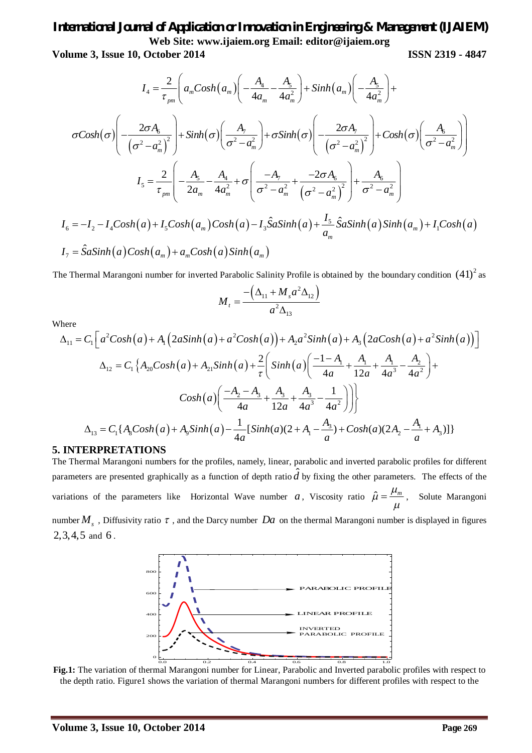**Volume 3, Issue 10, October 2014 ISSN 2319 - 4847**

$$
I_{4} = \frac{2}{\tau_{pm}} \left( a_{m}Cosh(a_{m}) \left( -\frac{A_{4}}{4a_{m}} - \frac{A_{5}}{4a_{m}^{2}} \right) + Sinh(a_{m}) \left( -\frac{A_{5}}{4a_{m}^{2}} \right) + \sigma Cosh(\sigma) \left( -\frac{2\sigma A_{6}}{\left( \sigma^{2} - a_{m}^{2} \right)^{2}} \right) + Sinh(\sigma) \left( \frac{A_{7}}{\sigma^{2} - a_{m}^{2}} \right) + \sigma Sinh(\sigma) \left( -\frac{2\sigma A_{7}}{\left( \sigma^{2} - a_{m}^{2} \right)^{2}} \right) + Cosh(\sigma) \left( \frac{A_{6}}{\sigma^{2} - a_{m}^{2}} \right) \right)
$$
  

$$
I_{5} = \frac{2}{\tau_{pm}} \left( -\frac{A_{5}}{2a_{m}} - \frac{A_{4}}{4a_{m}^{2}} + \sigma \left( \frac{-A_{7}}{\sigma^{2} - a_{m}^{2}} + \frac{-2\sigma A_{6}}{\left( \sigma^{2} - a_{m}^{2} \right)^{2}} \right) + \frac{A_{6}}{\sigma^{2} - a_{m}^{2}} \right)
$$
  

$$
I_{6} = -I_{2} - I_{4}Cosh(a) + I_{5}Cosh(a_{m})Cosh(a) - I_{3}\hat{S}aSinh(a) + \frac{I_{5}}{a_{m}}\hat{S}aSinh(a)Sinh(a_{m}) + I_{1}Cosh(a)
$$
  

$$
I_{7} = \hat{S}aSinh(a)Cosh(a_{m}) + a_{m}Cosh(a)Sinh(a_{m})
$$

The Thermal Marangoni number for inverted Parabolic Salinity Profile is obtained by the boundary condition  $(41)^2$  as

$$
M_{t} = \frac{-\left(\Delta_{11} + M_{s}a^{2}\Delta_{12}\right)}{a^{2}\Delta_{13}}
$$

Where

$$
\Delta_{11} = C_1 \Big[ a^2 \cosh(a) + A_1 \Big( 2a \sinh(a) + a^2 \cosh(a) \Big) + A_2 a^2 \sinh(a) + A_3 \Big( 2a \cosh(a) + a^2 \sinh(a) \Big) \Big]
$$
  
\n
$$
\Delta_{12} = C_1 \Big\{ A_{20} \cosh(a) + A_{21} \sinh(a) + \frac{2}{\tau} \Big( \sinh(a) \Big( \frac{-1 - A_1}{4a} + \frac{A_1}{12a} + \frac{A_1}{4a^3} - \frac{A_2}{4a^2} \Big) + Cosh(a) \Big( \frac{-A_2 - A_3}{4a} + \frac{A_3}{12a} + \frac{A_3}{4a^3} - \frac{1}{4a^2} \Big) \Big] \Big\}
$$
  
\n
$$
\Delta_{13} = C_1 \Big\{ A_8 \cosh(a) + A_9 \sinh(a) - \frac{1}{4a} \Big[ \sinh(a) (2 + A_1 - \frac{A_3}{a}) + Cosh(a) (2A_2 - \frac{A_1}{a} + A_3) \Big] \Big\}
$$

#### **5. INTERPRETATIONS**

The Thermal Marangoni numbers for the profiles, namely, linear, parabolic and inverted parabolic profiles for different parameters are presented graphically as a function of depth ratio  $\hat{d}$  by fixing the other parameters. The effects of the variations of the parameters like Horizontal Wave number *a*, Viscosity ratio  $\hat{\mu} = \frac{\mu_m}{m}$  $\mu$  $=\frac{\mu_m}{\mu}$ , Solute Marangoni

number  $M_s$  , Diffusivity ratio  $\tau$  , and the Darcy number  $Da$  on the thermal Marangoni number is displayed in figures 2,3,4,5 and 6 .



**Fig.1:** The variation of thermal Marangoni number for Linear, Parabolic and Inverted parabolic profiles with respect to the depth ratio. Figure1 shows the variation of thermal Marangoni numbers for different profiles with respect to the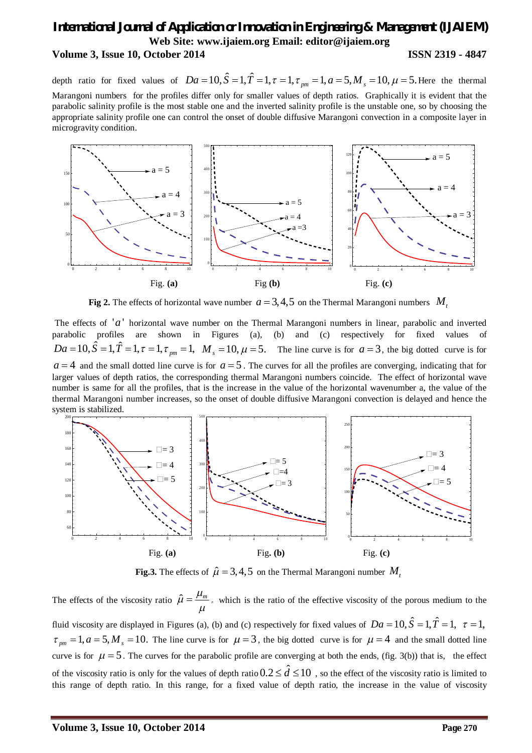depth ratio for fixed values of  $Da = 10$ ,  $\hat{S} = 1$ ,  $\hat{T} = 1$ ,  $\tau = 1$ ,  $\tau_{pm} = 1$ ,  $a = 5$ ,  $M_s = 10$ ,  $\mu = 5$ . Here the thermal Marangoni numbers for the profiles differ only for smaller values of depth ratios. Graphically it is evident that the parabolic salinity profile is the most stable one and the inverted salinity profile is the unstable one, so by choosing the appropriate salinity profile one can control the onset of double diffusive Marangoni convection in a composite layer in microgravity condition.



**Fig 2.** The effects of horizontal wave number  $a = 3, 4, 5$  on the Thermal Marangoni numbers  $M_t$ 

The effects of  $'a'$  horizontal wave number on the Thermal Marangoni numbers in linear, parabolic and inverted parabolic profiles are shown in Figures (a), (b) and (c) respectively for fixed values of  $Da = 10$ ,  $\hat{S} = 1$ ,  $\hat{T} = 1$ ,  $\tau = 1$ ,  $\tau_{pm} = 1$ ,  $M_s = 10$ ,  $\mu = 5$ . The line curve is for  $a = 3$ , the big dotted curve is for  $a = 4$  and the small dotted line curve is for  $a = 5$ . The curves for all the profiles are converging, indicating that for larger values of depth ratios, the corresponding thermal Marangoni numbers coincide. The effect of horizontal wave number is same for all the profiles, that is the increase in the value of the horizontal wavenumber a, the value of the thermal Marangoni number increases, so the onset of double diffusive Marangoni convection is delayed and hence the system is stabilized.



**Fig.3.** The effects of  $\hat{\mu} = 3, 4, 5$  on the Thermal Marangoni number  $M_t$ 

The effects of the viscosity ratio  $\hat{\mu} = \frac{\mu_m}{\mu}$ , which is the ratio of the effective viscosity of the porous medium to the fluid viscosity are displayed in Figures (a), (b) and (c) respectively for fixed values of  $Da = 10$ ,  $\hat{S} = 1$ ,  $\hat{T} = 1$ ,  $\tau = 1$ ,  $\tau_{pm} = 1, a = 5, M_s = 10$ . The line curve is for  $\mu = 3$ , the big dotted curve is for  $\mu = 4$  and the small dotted line curve is for  $\mu = 5$ . The curves for the parabolic profile are converging at both the ends, (fig. 3(b)) that is, the effect of the viscosity ratio is only for the values of depth ratio  $0.2 \leq \hat{d} \leq 10$ , so the effect of the viscosity ratio is limited to this range of depth ratio. In this range, for a fixed value of depth ratio, the increase in the value of viscosity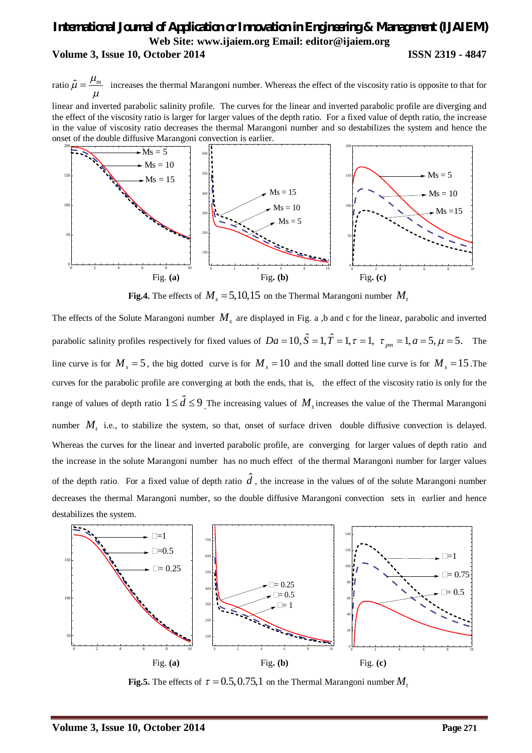ratio  $\hat{\mu} = \frac{\mu_m}{\mu}$  increases the thermal Marangoni number. Whereas the effect of the viscosity ratio is opposite to that for

linear and inverted parabolic salinity profile. The curves for the linear and inverted parabolic profile are diverging and the effect of the viscosity ratio is larger for larger values of the depth ratio. For a fixed value of depth ratio, the increase in the value of viscosity ratio decreases the thermal Marangoni number and so destabilizes the system and hence the onset of the double diffusive Marangoni convection is earlier.



**Fig.4.** The effects of  $M_s = 5,10,15$  on the Thermal Marangoni number  $M_t$ 

The effects of the Solute Marangoni number  $M_s$  are displayed in Fig. a ,b and c for the linear, parabolic and inverted parabolic salinity profiles respectively for fixed values of  $Da = 10$ ,  $\hat{S} = 1$ ,  $\hat{T} = 1$ ,  $\tau = 1$ ,  $\tau_{pm} = 1$ ,  $a = 5$ ,  $\mu = 5$ . The line curve is for  $M_s = 5$ , the big dotted curve is for  $M_s = 10$  and the small dotted line curve is for  $M_s = 15$ . The curves for the parabolic profile are converging at both the ends, that is, the effect of the viscosity ratio is only for the range of values of depth ratio  $1 \leq \hat{d} \leq 9$  The increasing values of  $M_s$  increases the value of the Thermal Marangoni number  $M_t$  i.e., to stabilize the system, so that, onset of surface driven double diffusive convection is delayed. Whereas the curves for the linear and inverted parabolic profile, are converging for larger values of depth ratio and the increase in the solute Marangoni number has no much effect of the thermal Marangoni number for larger values of the depth ratio. For a fixed value of depth ratio  $\hat{d}$ , the increase in the values of of the solute Marangoni number decreases the thermal Marangoni number, so the double diffusive Marangoni convection sets in earlier and hence destabilizes the system.



**Fig.5.** The effects of  $\tau = 0.5, 0.75, 1$  on the Thermal Marangoni number  $M_t$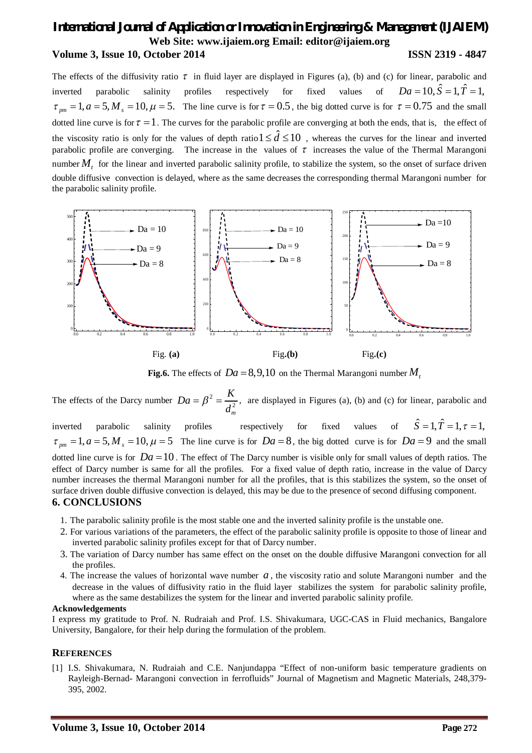The effects of the diffusivity ratio  $\tau$  in fluid layer are displayed in Figures (a), (b) and (c) for linear, parabolic and inverted parabolic salinity profiles respectively for fixed values of  $Da = 10$ ,  $\hat{S} = 1$ ,  $\hat{T} = 1$ ,  $\tau_{pm} = 1, a = 5, M_s = 10, \mu = 5$ . The line curve is for  $\tau = 0.5$ , the big dotted curve is for  $\tau = 0.75$  and the small dotted line curve is for  $\tau = 1$ . The curves for the parabolic profile are converging at both the ends, that is, the effect of the viscosity ratio is only for the values of depth ratio  $1 \leq \hat{d} \leq 10$ , whereas the curves for the linear and inverted parabolic profile are converging. The increase in the values of  $\tau$  increases the value of the Thermal Marangoni number  $M<sub>t</sub>$  for the linear and inverted parabolic salinity profile, to stabilize the system, so the onset of surface driven double diffusive convection is delayed, where as the same decreases the corresponding thermal Marangoni number for the parabolic salinity profile.



**Fig.6.** The effects of  $Da = 8,9,10$  on the Thermal Marangoni number M<sub>*t*</sub>

The effects of the Darcy number  $Da = \beta^2 = \frac{R}{d^2}$ *m*  $Da = \beta^2 = \frac{K}{\sqrt{2}}$ *d*  $=\beta^2=\frac{R}{r^2}$ , are displayed in Figures (a), (b) and (c) for linear, parabolic and inverted parabolic salinity profiles respectively for fixed values of  $\hat{S} = 1, \hat{T} = 1, \tau = 1$ ,  $\tau_{pm} = 1, a = 5, M_s = 10, \mu = 5$  The line curve is for  $Da = 8$ , the big dotted curve is for  $Da = 9$  and the small dotted line curve is for  $Da = 10$ . The effect of The Darcy number is visible only for small values of depth ratios. The effect of Darcy number is same for all the profiles. For a fixed value of depth ratio, increase in the value of Darcy

number increases the thermal Marangoni number for all the profiles, that is this stabilizes the system, so the onset of surface driven double diffusive convection is delayed, this may be due to the presence of second diffusing component.

### **6. CONCLUSIONS**

- 1. The parabolic salinity profile is the most stable one and the inverted salinity profile is the unstable one.
- 2. For various variations of the parameters, the effect of the parabolic salinity profile is opposite to those of linear and inverted parabolic salinity profiles except for that of Darcy number.
- 3. The variation of Darcy number has same effect on the onset on the double diffusive Marangoni convection for all the profiles.
- 4. The increase the values of horizontal wave number *a* , the viscosity ratio and solute Marangoni number and the decrease in the values of diffusivity ratio in the fluid layer stabilizes the system for parabolic salinity profile, where as the same destabilizes the system for the linear and inverted parabolic salinity profile.

#### **Acknowledgements**

I express my gratitude to Prof. N. Rudraiah and Prof. I.S. Shivakumara, UGC-CAS in Fluid mechanics, Bangalore University, Bangalore, for their help during the formulation of the problem.

### **REFERENCES**

[1] I.S. Shivakumara, N. Rudraiah and C.E. Nanjundappa "Effect of non-uniform basic temperature gradients on Rayleigh-Bernad- Marangoni convection in ferrofluids" Journal of Magnetism and Magnetic Materials, 248,379- 395, 2002.